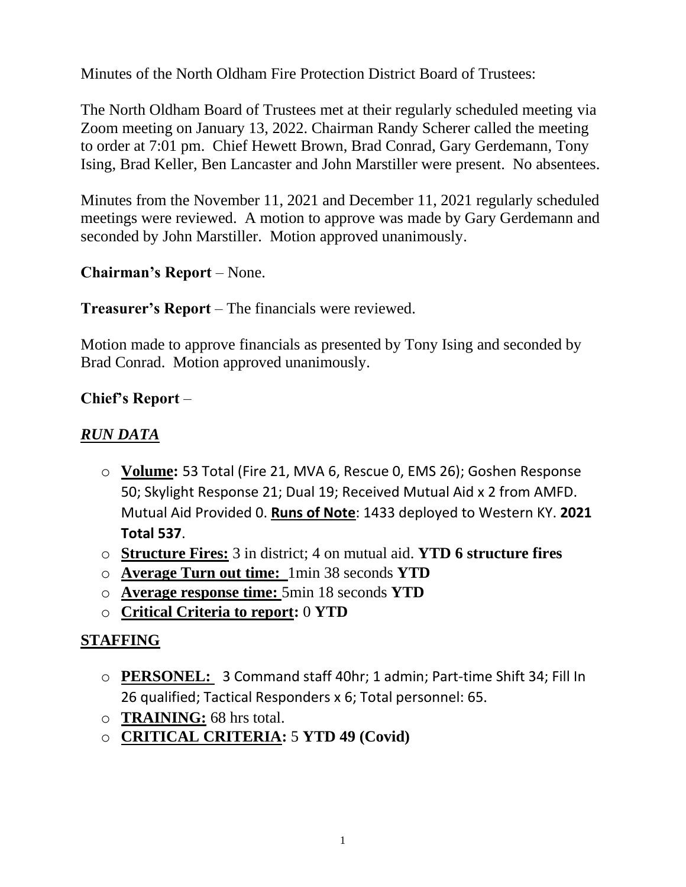Minutes of the North Oldham Fire Protection District Board of Trustees:

The North Oldham Board of Trustees met at their regularly scheduled meeting via Zoom meeting on January 13, 2022. Chairman Randy Scherer called the meeting to order at 7:01 pm. Chief Hewett Brown, Brad Conrad, Gary Gerdemann, Tony Ising, Brad Keller, Ben Lancaster and John Marstiller were present. No absentees.

Minutes from the November 11, 2021 and December 11, 2021 regularly scheduled meetings were reviewed. A motion to approve was made by Gary Gerdemann and seconded by John Marstiller. Motion approved unanimously.

# **Chairman's Report** – None.

#### **Treasurer's Report** – The financials were reviewed.

Motion made to approve financials as presented by Tony Ising and seconded by Brad Conrad. Motion approved unanimously.

## **Chief's Report** –

### *RUN DATA*

- o **Volume:** 53 Total (Fire 21, MVA 6, Rescue 0, EMS 26); Goshen Response 50; Skylight Response 21; Dual 19; Received Mutual Aid x 2 from AMFD. Mutual Aid Provided 0. **Runs of Note**: 1433 deployed to Western KY. **2021 Total 537**.
- o **Structure Fires:** 3 in district; 4 on mutual aid. **YTD 6 structure fires**
- o **Average Turn out time:** 1min 38 seconds **YTD**
- o **Average response time:** 5min 18 seconds **YTD**
- o **Critical Criteria to report:** 0 **YTD**

## **STAFFING**

- o **PERSONEL:** 3 Command staff 40hr; 1 admin; Part-time Shift 34; Fill In 26 qualified; Tactical Responders x 6; Total personnel: 65.
- o **TRAINING:** 68 hrs total.
- o **CRITICAL CRITERIA:** 5 **YTD 49 (Covid)**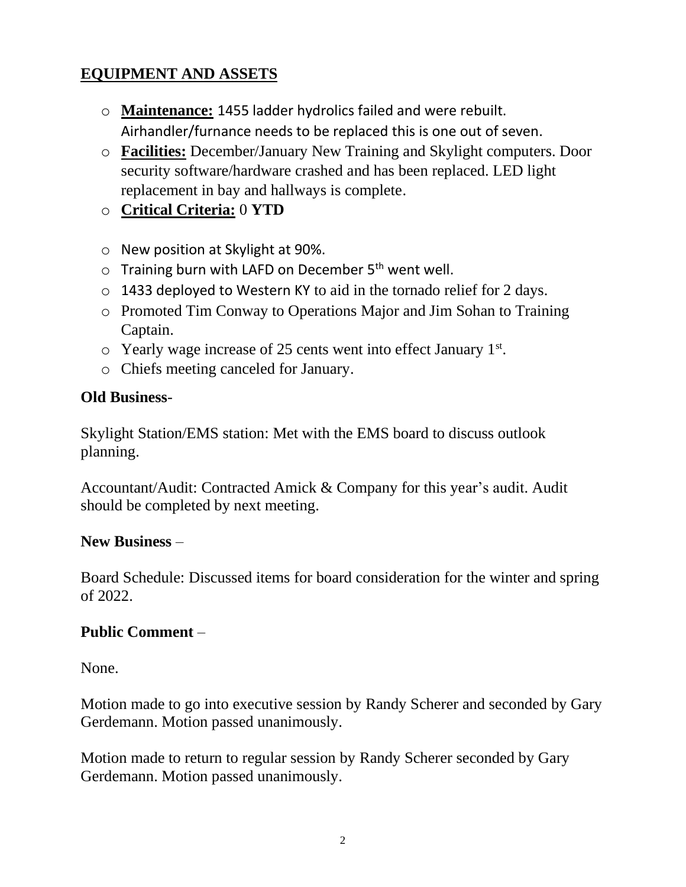# **EQUIPMENT AND ASSETS**

- o **Maintenance:** 1455 ladder hydrolics failed and were rebuilt. Airhandler/furnance needs to be replaced this is one out of seven.
- o **Facilities:** December/January New Training and Skylight computers. Door security software/hardware crashed and has been replaced. LED light replacement in bay and hallways is complete.
- o **Critical Criteria:** 0 **YTD**
- o New position at Skylight at 90%.
- o Training burn with LAFD on December 5<sup>th</sup> went well.
- o 1433 deployed to Western KY to aid in the tornado relief for 2 days.
- o Promoted Tim Conway to Operations Major and Jim Sohan to Training Captain.
- $\circ$  Yearly wage increase of 25 cents went into effect January 1st.
- o Chiefs meeting canceled for January.

### **Old Business**-

Skylight Station/EMS station: Met with the EMS board to discuss outlook planning.

Accountant/Audit: Contracted Amick & Company for this year's audit. Audit should be completed by next meeting.

#### **New Business** –

Board Schedule: Discussed items for board consideration for the winter and spring of 2022.

## **Public Comment** –

None.

Motion made to go into executive session by Randy Scherer and seconded by Gary Gerdemann. Motion passed unanimously.

Motion made to return to regular session by Randy Scherer seconded by Gary Gerdemann. Motion passed unanimously.